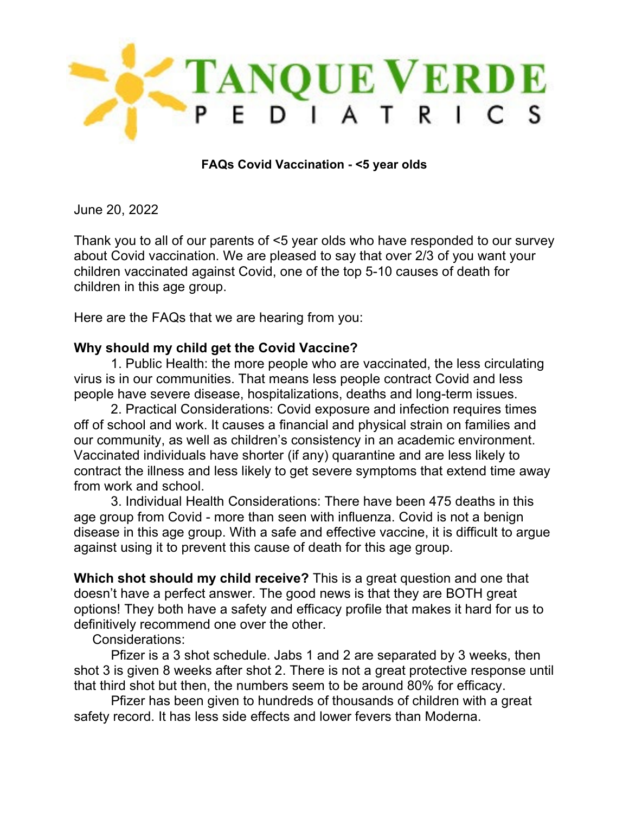

**FAQs Covid Vaccination - <5 year olds** 

June 20, 2022

Thank you to all of our parents of <5 year olds who have responded to our survey about Covid vaccination. We are pleased to say that over 2/3 of you want your children vaccinated against Covid, one of the top 5-10 causes of death for children in this age group.

Here are the FAQs that we are hearing from you:

## **Why should my child get the Covid Vaccine?**

1. Public Health: the more people who are vaccinated, the less circulating virus is in our communities. That means less people contract Covid and less people have severe disease, hospitalizations, deaths and long-term issues.

2. Practical Considerations: Covid exposure and infection requires times off of school and work. It causes a financial and physical strain on families and our community, as well as children's consistency in an academic environment. Vaccinated individuals have shorter (if any) quarantine and are less likely to contract the illness and less likely to get severe symptoms that extend time away from work and school.

3. Individual Health Considerations: There have been 475 deaths in this age group from Covid - more than seen with influenza. Covid is not a benign disease in this age group. With a safe and effective vaccine, it is difficult to argue against using it to prevent this cause of death for this age group.

**Which shot should my child receive?** This is a great question and one that doesn't have a perfect answer. The good news is that they are BOTH great options! They both have a safety and efficacy profile that makes it hard for us to definitively recommend one over the other.

Considerations:

 Pfizer is a 3 shot schedule. Jabs 1 and 2 are separated by 3 weeks, then shot 3 is given 8 weeks after shot 2. There is not a great protective response until that third shot but then, the numbers seem to be around 80% for efficacy.

 Pfizer has been given to hundreds of thousands of children with a great safety record. It has less side effects and lower fevers than Moderna.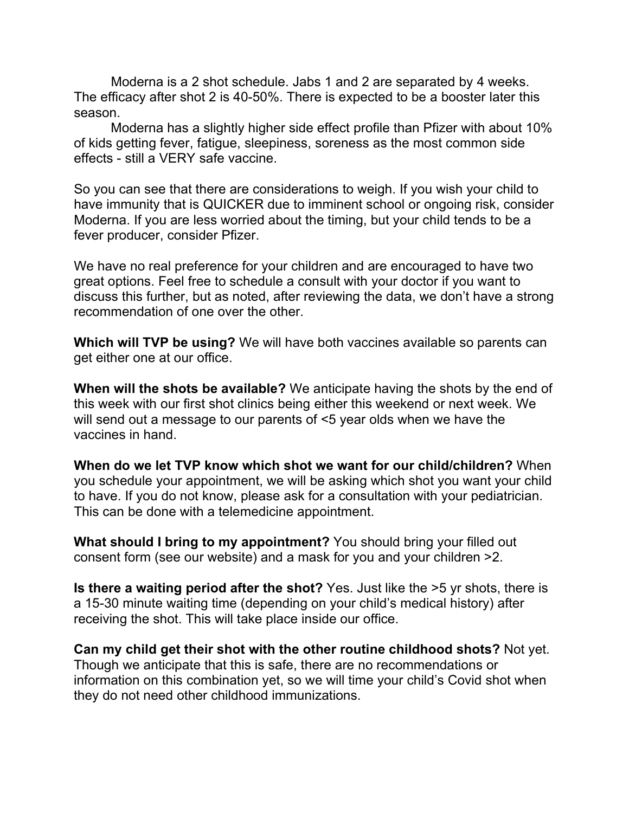Moderna is a 2 shot schedule. Jabs 1 and 2 are separated by 4 weeks. The efficacy after shot 2 is 40-50%. There is expected to be a booster later this season.

Moderna has a slightly higher side effect profile than Pfizer with about 10% of kids getting fever, fatigue, sleepiness, soreness as the most common side effects - still a VERY safe vaccine.

So you can see that there are considerations to weigh. If you wish your child to have immunity that is QUICKER due to imminent school or ongoing risk, consider Moderna. If you are less worried about the timing, but your child tends to be a fever producer, consider Pfizer.

We have no real preference for your children and are encouraged to have two great options. Feel free to schedule a consult with your doctor if you want to discuss this further, but as noted, after reviewing the data, we don't have a strong recommendation of one over the other.

**Which will TVP be using?** We will have both vaccines available so parents can get either one at our office.

**When will the shots be available?** We anticipate having the shots by the end of this week with our first shot clinics being either this weekend or next week. We will send out a message to our parents of <5 year olds when we have the vaccines in hand.

**When do we let TVP know which shot we want for our child/children?** When you schedule your appointment, we will be asking which shot you want your child to have. If you do not know, please ask for a consultation with your pediatrician. This can be done with a telemedicine appointment.

**What should I bring to my appointment?** You should bring your filled out consent form (see our website) and a mask for you and your children >2.

**Is there a waiting period after the shot?** Yes. Just like the >5 yr shots, there is a 15-30 minute waiting time (depending on your child's medical history) after receiving the shot. This will take place inside our office.

**Can my child get their shot with the other routine childhood shots?** Not yet. Though we anticipate that this is safe, there are no recommendations or information on this combination yet, so we will time your child's Covid shot when they do not need other childhood immunizations.